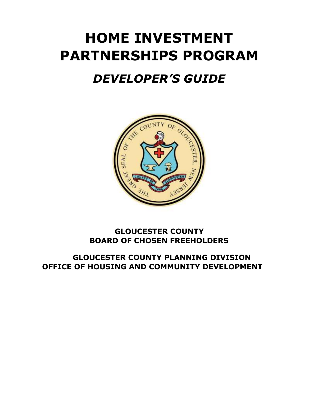# **HOME INVESTMENT PARTNERSHIPS PROGRAM**

## *DEVELOPER'S GUIDE*  Ξ



### **GLOUCESTER COUNTY BOARD OF CHOSEN FREEHOLDERS**

**GLOUCESTER COUNTY PLANNING DIVISION OFFICE OF HOUSING AND COMMUNITY DEVELOPMENT**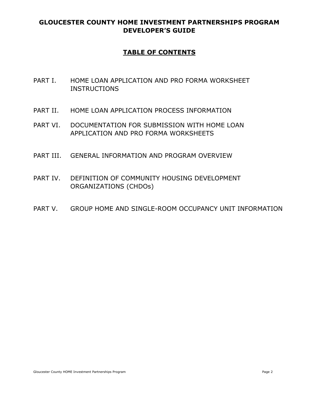### **TABLE OF CONTENTS**

- PART I. HOME LOAN APPLICATION AND PRO FORMA WORKSHEET **INSTRUCTIONS**
- PART II. HOME LOAN APPLICATION PROCESS INFORMATION
- PART VI. DOCUMENTATION FOR SUBMISSION WITH HOME LOAN APPLICATION AND PRO FORMA WORKSHEETS
- PART III. GENERAL INFORMATION AND PROGRAM OVERVIEW
- PART IV. DEFINITION OF COMMUNITY HOUSING DEVELOPMENT ORGANIZATIONS (CHDOs)
- PART V. GROUP HOME AND SINGLE-ROOM OCCUPANCY UNIT INFORMATION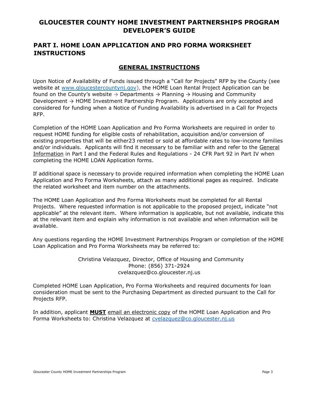### **PART I. HOME LOAN APPLICATION AND PRO FORMA WORKSHEET INSTRUCTIONS**

#### **GENERAL INSTRUCTIONS**

Upon Notice of Availability of Funds issued through a "Call for Projects" RFP by the County (see website at [www.gloucestercountynj.gov\),](http://www.gloucestercountynj.gov/) the HOME Loan Rental Project Application can be found on the County's website  $\rightarrow$  Departments  $\rightarrow$  Planning  $\rightarrow$  Housing and Community Development  $\rightarrow$  HOME Investment Partnership Program. Applications are only accepted and considered for funding when a Notice of Funding Availability is advertised in a Call for Projects RFP.

Completion of the HOME Loan Application and Pro Forma Worksheets are required in order to request HOME funding for eligible costs of rehabilitation, acquisition and/or conversion of existing properties that will be either23 rented or sold at affordable rates to low-income families and/or individuals. Applicants will find it necessary to be familiar with and refer to the General Information in Part I and the Federal Rules and Regulations - 24 CFR Part 92 in Part IV when completing the HOME LOAN Application forms.

If additional space is necessary to provide required information when completing the HOME Loan Application and Pro Forma Worksheets, attach as many additional pages as required. Indicate the related worksheet and item number on the attachments.

The HOME Loan Application and Pro Forma Worksheets must be completed for all Rental Projects. Where requested information is not applicable to the proposed project, indicate "not applicable" at the relevant item. Where information is applicable, but not available, indicate this at the relevant item and explain why information is not available and when information will be available.

Any questions regarding the HOME Investment Partnerships Program or completion of the HOME Loan Application and Pro Forma Worksheets may be referred to:

> Christina Velazquez, Director, Office of Housing and Community Phone: (856) 371-2924 cvelazquez@co.gloucester.nj.us

Completed HOME Loan Application, Pro Forma Worksheets and required documents for loan consideration must be sent to the Purchasing Department as directed pursuant to the Call for Projects RFP.

In addition, applicant **MUST** email an electronic copy of the HOME Loan Application and Pro Forma Worksheets to: Christina Velazquez at [cvelazquez@co.gloucester.nj.us](mailto:cvelazquez@co.gloucester.nj.us)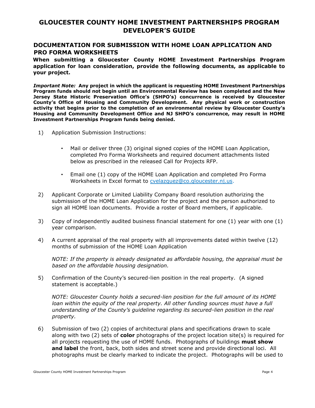#### **DOCUMENTATION FOR SUBMISSION WITH HOME LOAN APPLICATION AND PRO FORMA WORKSHEETS**

**When submitting a Gloucester County HOME Investment Partnerships Program application for loan consideration, provide the following documents, as applicable to your project.** 

*Important Note:* **Any project in which the applicant is requesting HOME Investment Partnerships Program funds should not begin until an Environmental Review has been completed and the New Jersey State Historic Preservation Office's (SHPO's) concurrence is received by Gloucester County's Office of Housing and Community Development. Any physical work or construction activity that begins prior to the completion of an environmental review by Gloucester County's Housing and Community Development Office and NJ SHPO's concurrence, may result in HOME Investment Partnerships Program funds being denied.** 

- 1) Application Submission Instructions:
	- Mail or deliver three (3) original signed copies of the HOME Loan Application, completed Pro Forma Worksheets and required document attachments listed below as prescribed in the released Call for Projects RFP.
	- Email one (1) copy of the HOME Loan Application and completed Pro Forma Worksheets in Excel format to cvelazquez@co.gloucester.nj.us.
- 2) Applicant Corporate or Limited Liability Company Board resolution authorizing the submission of the HOME Loan Application for the project and the person authorized to sign all HOME loan documents. Provide a roster of Board members, if applicable.
- 3) Copy of independently audited business financial statement for one (1) year with one (1) year comparison.
- 4) A current appraisal of the real property with all improvements dated within twelve (12) months of submission of the HOME Loan Application

*NOTE: If the property is already designated as affordable housing, the appraisal must be based on the affordable housing designation.* 

5) Confirmation of the County's secured-lien position in the real property. (A signed statement is acceptable.)

*NOTE: Gloucester County holds a secured-lien position for the full amount of its HOME loan within the equity of the real property. All other funding sources must have a full understanding of the County's guideline regarding its secured-lien position in the real property.* 

6) Submission of two (2) copies of architectural plans and specifications drawn to scale along with two (2) sets of **color** photographs of the project location site(s) is required for all projects requesting the use of HOME funds. Photographs of buildings **must show and label** the front, back, both sides and street scene and provide directional loci. All photographs must be clearly marked to indicate the project. Photographs will be used to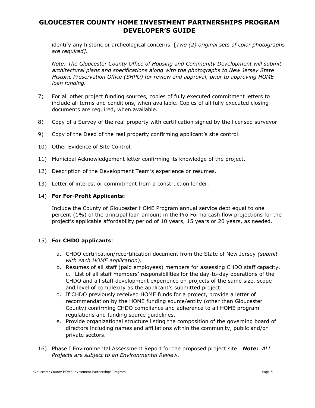identify any historic or archeological concerns. [*Two (2) original sets of color photographs are required].* 

*Note: The Gloucester County Office of Housing and Community Development will submit architectural plans and specifications along with the photographs to New Jersey State Historic Preservation Office (SHPO) for review and approval, prior to approving HOME loan funding.* 

- 7) For all other project funding sources, copies of fully executed commitment letters to include all terms and conditions, when available. Copies of all fully executed closing documents are required, when available.
- 8) Copy of a Survey of the real property with certification signed by the licensed surveyor.
- 9) Copy of the Deed of the real property confirming applicant's site control.
- 10) Other Evidence of Site Control.
- 11) Municipal Acknowledgement letter confirming its knowledge of the project.
- 12) Description of the Development Team's experience or resumes.
- 13) Letter of interest or commitment from a construction lender.

#### 14) **For For-Profit Applicants:**

Include the County of Gloucester HOME Program annual service debt equal to one percent (1%) of the principal loan amount in the Pro Forma cash flow projections for the project's applicable affordability period of 10 years, 15 years or 20 years, as needed.

#### 15) **For CHDO applicants**:

- a. CHDO certification/recertification document from the State of New Jersey *(submit with each HOME application).*
- b. Resumes of all staff (paid employees) members for assessing CHDO staff capacity. c. List of all staff members' responsibilities for the day-to-day operations of the CHDO and all staff development experience on projects of the same size, scope and level of complexity as the applicant's submitted project.
- d. If CHDO previously received HOME funds for a project, provide a letter of recommendation by the HOME funding source/entity (other than Gloucester County) confirming CHDO compliance and adherence to all HOME program regulations and funding source guidelines.
- e. Provide organizational structure listing the composition of the governing board of directors including names and affiliations within the community, public and/or private sectors.
- 16) Phase I Environmental Assessment Report for the proposed project site. *Note: ALL Projects are subject to an Environmental Review.*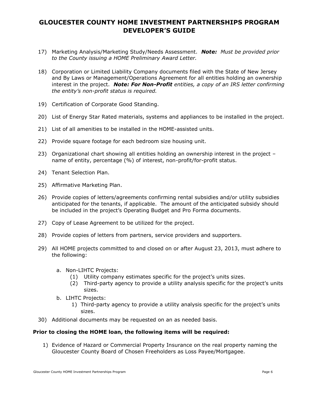- 17) Marketing Analysis/Marketing Study/Needs Assessment. *Note: Must be provided prior to the County issuing a HOME Preliminary Award Letter.*
- 18) Corporation or Limited Liability Company documents filed with the State of New Jersey and By Laws or Management/Operations Agreement for all entities holding an ownership interest in the project. *Note: For Non-Profit entities, a copy of an IRS letter confirming the entity's non-profit status is required.*
- 19) Certification of Corporate Good Standing.
- 20) List of Energy Star Rated materials, systems and appliances to be installed in the project.
- 21) List of all amenities to be installed in the HOME-assisted units.
- 22) Provide square footage for each bedroom size housing unit.
- 23) Organizational chart showing all entities holding an ownership interest in the project name of entity, percentage (%) of interest, non-profit/for-profit status.
- 24) Tenant Selection Plan.
- 25) Affirmative Marketing Plan.
- 26) Provide copies of letters/agreements confirming rental subsidies and/or utility subsidies anticipated for the tenants, if applicable. The amount of the anticipated subsidy should be included in the project's Operating Budget and Pro Forma documents.
- 27) Copy of Lease Agreement to be utilized for the project.
- 28) Provide copies of letters from partners, service providers and supporters.
- 29) All HOME projects committed to and closed on or after August 23, 2013, must adhere to the following:
	- a. Non-LIHTC Projects:
		- (1) Utility company estimates specific for the project's units sizes.
		- (2) Third-party agency to provide a utility analysis specific for the project's units sizes.
	- b. LIHTC Projects:
		- 1) Third-party agency to provide a utility analysis specific for the project's units sizes.
- 30) Additional documents may be requested on an as needed basis.

#### **Prior to closing the HOME loan, the following items will be required:**

1) Evidence of Hazard or Commercial Property Insurance on the real property naming the Gloucester County Board of Chosen Freeholders as Loss Payee/Mortgagee.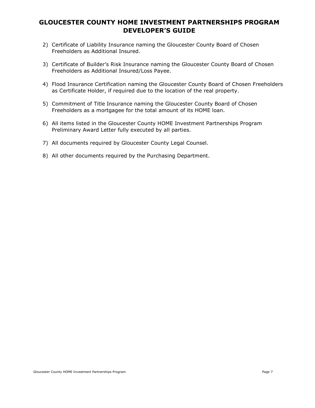- 2) Certificate of Liability Insurance naming the Gloucester County Board of Chosen Freeholders as Additional Insured.
- 3) Certificate of Builder's Risk Insurance naming the Gloucester County Board of Chosen Freeholders as Additional Insured/Loss Payee.
- 4) Flood Insurance Certification naming the Gloucester County Board of Chosen Freeholders as Certificate Holder, if required due to the location of the real property.
- 5) Commitment of Title Insurance naming the Gloucester County Board of Chosen Freeholders as a mortgagee for the total amount of its HOME loan.
- 6) All items listed in the Gloucester County HOME Investment Partnerships Program Preliminary Award Letter fully executed by all parties.
- 7) All documents required by Gloucester County Legal Counsel.
- 8) All other documents required by the Purchasing Department.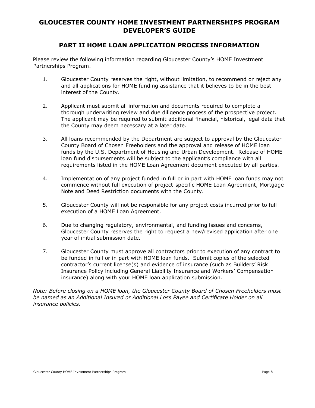### **PART II HOME LOAN APPLICATION PROCESS INFORMATION**

Please review the following information regarding Gloucester County's HOME Investment Partnerships Program.

- 1. Gloucester County reserves the right, without limitation, to recommend or reject any and all applications for HOME funding assistance that it believes to be in the best interest of the County.
- 2. Applicant must submit all information and documents required to complete a thorough underwriting review and due diligence process of the prospective project. The applicant may be required to submit additional financial, historical, legal data that the County may deem necessary at a later date.
- 3. All loans recommended by the Department are subject to approval by the Gloucester County Board of Chosen Freeholders and the approval and release of HOME loan funds by the U.S. Department of Housing and Urban Development. Release of HOME loan fund disbursements will be subject to the applicant's compliance with all requirements listed in the HOME Loan Agreement document executed by all parties.
- 4. Implementation of any project funded in full or in part with HOME loan funds may not commence without full execution of project-specific HOME Loan Agreement, Mortgage Note and Deed Restriction documents with the County.
- 5. Gloucester County will not be responsible for any project costs incurred prior to full execution of a HOME Loan Agreement.
- 6. Due to changing regulatory, environmental, and funding issues and concerns, Gloucester County reserves the right to request a new/revised application after one year of initial submission date.
- 7. Gloucester County must approve all contractors prior to execution of any contract to be funded in full or in part with HOME loan funds. Submit copies of the selected contractor's current license(s) and evidence of insurance (such as Builders' Risk Insurance Policy including General Liability Insurance and Workers' Compensation insurance) along with your HOME loan application submission.

*Note: Before closing on a HOME loan, the Gloucester County Board of Chosen Freeholders must be named as an Additional Insured or Additional Loss Payee and Certificate Holder on all insurance policies.*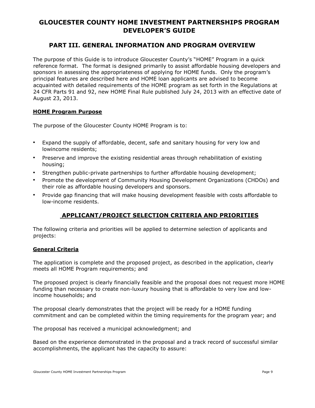### **PART III. GENERAL INFORMATION AND PROGRAM OVERVIEW**

The purpose of this Guide is to introduce Gloucester County's "HOME" Program in a quick reference format. The format is designed primarily to assist affordable housing developers and sponsors in assessing the appropriateness of applying for HOME funds. Only the program's principal features are described here and HOME loan applicants are advised to become acquainted with detailed requirements of the HOME program as set forth in the Regulations at 24 CFR Parts 91 and 92, new HOME Final Rule published July 24, 2013 with an effective date of August 23, 2013.

#### **HOME Program Purpose**

The purpose of the Gloucester County HOME Program is to:

- Expand the supply of affordable, decent, safe and sanitary housing for very low and lowincome residents;
- Preserve and improve the existing residential areas through rehabilitation of existing housing;
- Strengthen public-private partnerships to further affordable housing development;
- Promote the development of Community Housing Development Organizations (CHDOs) and their role as affordable housing developers and sponsors.
- Provide gap financing that will make housing development feasible with costs affordable to low-income residents.

### **APPLICANT/PROJECT SELECTION CRITERIA AND PRIORITIES**

The following criteria and priorities will be applied to determine selection of applicants and projects:

#### **General Criteria**

The application is complete and the proposed project, as described in the application, clearly meets all HOME Program requirements; and

The proposed project is clearly financially feasible and the proposal does not request more HOME funding than necessary to create non-luxury housing that is affordable to very low and lowincome households; and

The proposal clearly demonstrates that the project will be ready for a HOME funding commitment and can be completed within the timing requirements for the program year; and

The proposal has received a municipal acknowledgment; and

Based on the experience demonstrated in the proposal and a track record of successful similar accomplishments, the applicant has the capacity to assure: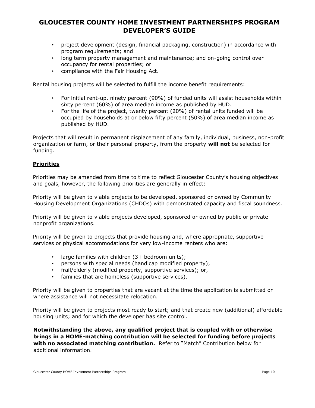- project development (design, financial packaging, construction) in accordance with program requirements; and
- long term property management and maintenance; and on-going control over occupancy for rental properties; or
- compliance with the Fair Housing Act.

Rental housing projects will be selected to fulfill the income benefit requirements:

- For initial rent-up, ninety percent (90%) of funded units will assist households within sixty percent (60%) of area median income as published by HUD.
- For the life of the project, twenty percent (20%) of rental units funded will be occupied by households at or below fifty percent (50%) of area median income as published by HUD.

Projects that will result in permanent displacement of any family, individual, business, non-profit organization or farm, or their personal property, from the property **will not** be selected for funding.

#### **Priorities**

Priorities may be amended from time to time to reflect Gloucester County's housing objectives and goals, however, the following priorities are generally in effect:

Priority will be given to viable projects to be developed, sponsored or owned by Community Housing Development Organizations (CHDOs) with demonstrated capacity and fiscal soundness.

Priority will be given to viable projects developed, sponsored or owned by public or private nonprofit organizations.

Priority will be given to projects that provide housing and, where appropriate, supportive services or physical accommodations for very low-income renters who are:

- large families with children (3+ bedroom units);
- persons with special needs (handicap modified property);
- frail/elderly (modified property, supportive services); or,
- families that are homeless (supportive services).

Priority will be given to properties that are vacant at the time the application is submitted or where assistance will not necessitate relocation.

Priority will be given to projects most ready to start; and that create new (additional) affordable housing units; and for which the developer has site control.

**Notwithstanding the above, any qualified project that is coupled with or otherwise brings in a HOME-matching contribution will be selected for funding before projects with no associated matching contribution.** Refer to "Match" Contribution below for additional information.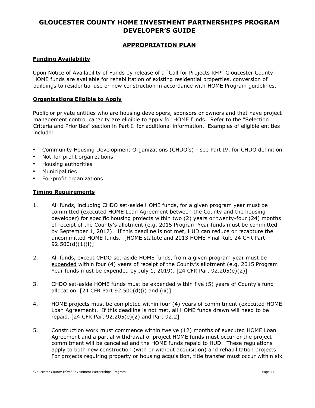#### **APPROPRIATION PLAN**

#### **Funding Availability**

Upon Notice of Availability of Funds by release of a "Call for Projects RFP" Gloucester County HOME funds are available for rehabilitation of existing residential properties, conversion of buildings to residential use or new construction in accordance with HOME Program guidelines.

#### **Organizations Eligible to Apply**

Public or private entities who are housing developers, sponsors or owners and that have project management control capacity are eligible to apply for HOME funds. Refer to the "Selection Criteria and Priorities" section in Part I. for additional information. Examples of eligible entities include:

- Community Housing Development Organizations (CHDO's) see Part IV. for CHDO definition
- Not-for-profit organizations
- Housing authorities
- **Municipalities**
- For-profit organizations

#### **Timing Requirements**

- 1. All funds, including CHDO set-aside HOME funds, for a given program year must be committed (executed HOME Loan Agreement between the County and the housing developer) for specific housing projects within two (2) years or twenty-four (24) months of receipt of the County's allotment (e.g. 2015 Program Year funds must be committed by September 1, 2017). If this deadline is not met, HUD can reduce or recapture the uncommitted HOME funds. [HOME statute and 2013 HOME Final Rule 24 CFR Part 92.500(d)(1)(i)]
- 2. All funds, except CHDO set-aside HOME funds, from a given program year must be expended within four (4) years of receipt of the County's allotment (e.g. 2015 Program Year funds must be expended by July 1, 2019). [24 CFR Part 92.205(e)(2)]
- 3. CHDO set-aside HOME funds must be expended within five (5) years of County's fund allocation.  $[24 \text{ CFR Part } 92.500(d)(i)$  and  $(iii)$ ]
- 4. HOME projects must be completed within four (4) years of commitment (executed HOME Loan Agreement). If this deadline is not met, all HOME funds drawn will need to be repaid. [24 CFR Part 92.205(e)(2) and Part 92.2]
- 5. Construction work must commence within twelve (12) months of executed HOME Loan Agreement and a partial withdrawal of project HOME funds must occur or the project commitment will be cancelled and the HOME funds repaid to HUD. These regulations apply to both new construction (with or without acquisition) and rehabilitation projects. For projects requiring property or housing acquisition, title transfer must occur within six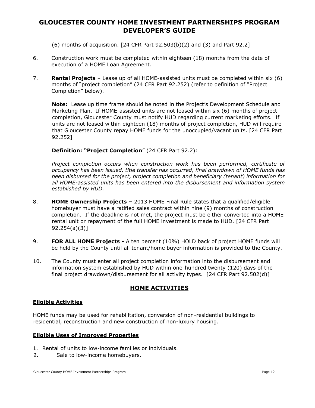(6) months of acquisition. [24 CFR Part 92.503(b)(2) and (3) and Part 92.2]

- 6. Construction work must be completed within eighteen (18) months from the date of execution of a HOME Loan Agreement.
- 7. **Rental Projects**  Lease up of all HOME-assisted units must be completed within six (6) months of "project completion" (24 CFR Part 92.252) (refer to definition of "Project Completion" below).

**Note:** Lease up time frame should be noted in the Project's Development Schedule and Marketing Plan. If HOME-assisted units are not leased within six (6) months of project completion, Gloucester County must notify HUD regarding current marketing efforts. If units are not leased within eighteen (18) months of project completion, HUD will require that Gloucester County repay HOME funds for the unoccupied/vacant units. [24 CFR Part 92.252]

#### **Definition: "Project Completion**" (24 CFR Part 92.2):

*Project completion occurs when construction work has been performed, certificate of occupancy has been issued, title transfer has occurred, final drawdown of HOME funds has been disbursed for the project, project completion and beneficiary (tenant) information for all HOME-assisted units has been entered into the disbursement and information system established by HUD.* 

- 8. **HOME Ownership Projects –** 2013 HOME Final Rule states that a qualified/eligible homebuyer must have a ratified sales contract within nine (9) months of construction completion. If the deadline is not met, the project must be either converted into a HOME rental unit or repayment of the full HOME investment is made to HUD. [24 CFR Part 92.254(a)(3)]
- 9. **FOR ALL HOME Projects -** A ten percent (10%) HOLD back of project HOME funds will be held by the County until all tenant/home buyer information is provided to the County.
- 10. The County must enter all project completion information into the disbursement and information system established by HUD within one-hundred twenty (120) days of the final project drawdown/disbursement for all activity types. [24 CFR Part 92.502(d)]

### **HOME ACTIVITIES**

#### **Eligible Activities**

HOME funds may be used for rehabilitation, conversion of non-residential buildings to residential, reconstruction and new construction of non-luxury housing.

#### **Eligible Uses of Improved Properties**

- 1. Rental of units to low-income families or individuals.
- 2. Sale to low-income homebuyers.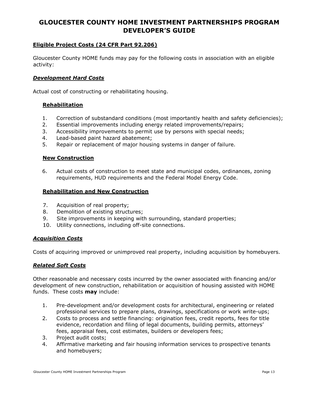#### **Eligible Project Costs (24 CFR Part 92.206)**

Gloucester County HOME funds may pay for the following costs in association with an eligible activity:

#### *Development Hard Costs*

Actual cost of constructing or rehabilitating housing.

#### **Rehabilitation**

- 1. Correction of substandard conditions (most importantly health and safety deficiencies);
- 2. Essential improvements including energy related improvements/repairs;
- 3. Accessibility improvements to permit use by persons with special needs;
- 4. Lead-based paint hazard abatement;
- 5. Repair or replacement of major housing systems in danger of failure.

#### **New Construction**

6. Actual costs of construction to meet state and municipal codes, ordinances, zoning requirements, HUD requirements and the Federal Model Energy Code.

#### **Rehabilitation and New Construction**

- 7. Acquisition of real property;
- 8. Demolition of existing structures;
- 9. Site improvements in keeping with surrounding, standard properties;
- 10. Utility connections, including off-site connections.

#### *Acquisition Costs*

Costs of acquiring improved or unimproved real property, including acquisition by homebuyers.

#### *Related Soft Costs*

Other reasonable and necessary costs incurred by the owner associated with financing and/or development of new construction, rehabilitation or acquisition of housing assisted with HOME funds. These costs **may** include:

- 1. Pre-development and/or development costs for architectural, engineering or related professional services to prepare plans, drawings, specifications or work write-ups;
- 2. Costs to process and settle financing: origination fees, credit reports, fees for title evidence, recordation and filing of legal documents, building permits, attorneys' fees, appraisal fees, cost estimates, builders or developers fees;
- 3. Project audit costs;
- 4. Affirmative marketing and fair housing information services to prospective tenants and homebuyers;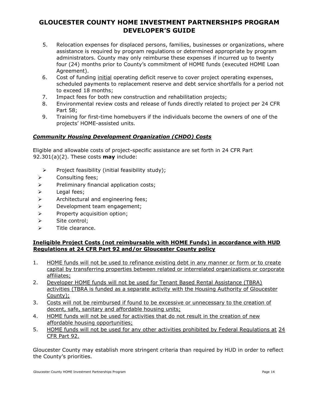- 5. Relocation expenses for displaced persons, families, businesses or organizations, where assistance is required by program regulations or determined appropriate by program administrators. County may only reimburse these expenses if incurred up to twenty four (24) months prior to County's commitment of HOME funds (executed HOME Loan Agreement).
- 6. Cost of funding initial operating deficit reserve to cover project operating expenses, scheduled payments to replacement reserve and debt service shortfalls for a period not to exceed 18 months;
- 7. Impact fees for both new construction and rehabilitation projects;
- 8. Environmental review costs and release of funds directly related to project per 24 CFR Part 58;
- 9. Training for first-time homebuyers if the individuals become the owners of one of the projects' HOME-assisted units.

#### *Community Housing Development Organization (CHDO) Costs*

Eligible and allowable costs of project-specific assistance are set forth in 24 CFR Part 92.301(a)(2). These costs **may** include:

- $\triangleright$  Project feasibility (initial feasibility study);
- > Consulting fees;
- $\triangleright$  Preliminary financial application costs;
- $\triangleright$  Legal fees;
- $\triangleright$  Architectural and engineering fees;
- > Development team engagement;
- $\triangleright$  Property acquisition option;
- $\triangleright$  Site control:
- $\triangleright$  Title clearance.

#### **Ineligible Project Costs (not reimbursable with HOME Funds) in accordance with HUD Regulations at 24 CFR Part 92 and/or Gloucester County policy**

- 1. HOME funds will not be used to refinance existing debt in any manner or form or to create capital by transferring properties between related or interrelated organizations or corporate affiliates;
- 2. Developer HOME funds will not be used for Tenant Based Rental Assistance (TBRA) activities (TBRA is funded as a separate activity with the Housing Authority of Gloucester County);
- 3. Costs will not be reimbursed if found to be excessive or unnecessary to the creation of decent, safe, sanitary and affordable housing units;
- 4. HOME funds will not be used for activities that do not result in the creation of new affordable housing opportunities;
- 5. HOME funds will not be used for any other activities prohibited by Federal Regulations at 24 CFR Part 92.

Gloucester County may establish more stringent criteria than required by HUD in order to reflect the County's priorities.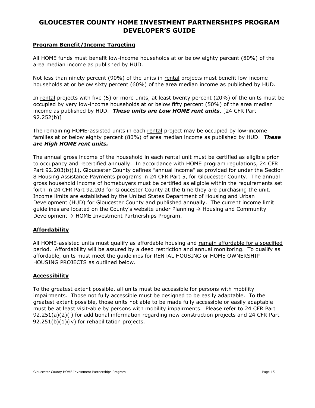#### **Program Benefit/Income Targeting**

All HOME funds must benefit low-income households at or below eighty percent (80%) of the area median income as published by HUD.

Not less than ninety percent (90%) of the units in rental projects must benefit low-income households at or below sixty percent (60%) of the area median income as published by HUD.

In rental projects with five (5) or more units, at least twenty percent (20%) of the units must be occupied by very low-income households at or below fifty percent (50%) of the area median income as published by HUD. *These units are Low HOME rent units*. [24 CFR Part 92.252(b)]

The remaining HOME-assisted units in each rental project may be occupied by low-income families at or below eighty percent (80%) of area median income as published by HUD. *These are High HOME rent units.* 

The annual gross income of the household in each rental unit must be certified as eligible prior to occupancy and recertified annually. In accordance with HOME program regulations, 24 CFR Part 92.203(b)(1), Gloucester County defines "annual income" as provided for under the Section 8 Housing Assistance Payments programs in 24 CFR Part 5, for Gloucester County. The annual gross household income of homebuyers must be certified as eligible within the requirements set forth in 24 CFR Part 92.203 for Gloucester County at the time they are purchasing the unit. Income limits are established by the United States Department of Housing and Urban Development (HUD) for Gloucester County and published annually. The current income limit guidelines are located on the County's website under Planning  $\rightarrow$  Housing and Community Development → HOME Investment Partnerships Program.

#### **Affordability**

All HOME-assisted units must qualify as affordable housing and remain affordable for a specified period. Affordability will be assured by a deed restriction and annual monitoring. To qualify as affordable, units must meet the guidelines for RENTAL HOUSING or HOME OWNERSHIP HOUSING PROJECTS as outlined below.

#### **Accessibility**

To the greatest extent possible, all units must be accessible for persons with mobility impairments. Those not fully accessible must be designed to be easily adaptable. To the greatest extent possible, those units not able to be made fully accessible or easily adaptable must be at least visit-able by persons with mobility impairments. Please refer to 24 CFR Part 92.251(a)(2)(i) for additional information regarding new construction projects and 24 CFR Part 92.251(b)(1)(iv) for rehabilitation projects.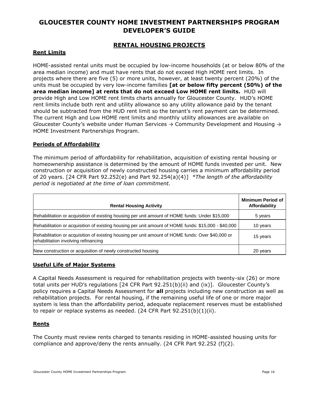#### **RENTAL HOUSING PROJECTS**

#### **Rent Limits**

HOME-assisted rental units must be occupied by low-income households (at or below 80% of the area median income) and must have rents that do not exceed High HOME rent limits. In projects where there are five (5) or more units, however, at least twenty percent (20%) of the units must be occupied by very low-income families **[at or below fifty percent (50%) of the area median income] at rents that do not exceed Low HOME rent limits.** HUD will provide High and Low HOME rent limits charts annually for Gloucester County. HUD's HOME rent limits include both rent and utility allowance so any utility allowance paid by the tenant should be subtracted from the HUD rent limit so the tenant's rent payment can be determined. The current High and Low HOME rent limits and monthly utility allowances are available on Gloucester County's website under Human Services  $\rightarrow$  Community Development and Housing  $\rightarrow$ HOME Investment Partnerships Program.

#### **Periods of Affordability**

The minimum period of affordability for rehabilitation, acquisition of existing rental housing or homeownership assistance is determined by the amount of HOME funds invested per unit. New construction or acquisition of newly constructed housing carries a minimum affordability period of 20 years. [24 CFR Part 92.252(e) and Part 92.254(a)(4)] *\*The length of the affordability period is negotiated at the time of loan commitment.* 

| <b>Rental Housing Activity</b>                                                                                                            | <b>Minimum Period of</b><br>Affordability |
|-------------------------------------------------------------------------------------------------------------------------------------------|-------------------------------------------|
| Rehabilitation or acquisition of existing housing per unit amount of HOME funds: Under \$15,000                                           | 5 years                                   |
| Rehabilitation or acquisition of existing housing per unit amount of HOME funds: \$15,000 - \$40,000                                      | 10 years                                  |
| Rehabilitation or acquisition of existing housing per unit amount of HOME funds: Over \$40,000 or<br>rehabilitation involving refinancing | 15 years                                  |
| New construction or acquisition of newly constructed housing                                                                              | 20 years                                  |

#### **Useful Life of Major Systems**

A Capital Needs Assessment is required for rehabilitation projects with twenty-six (26) or more total units per HUD's regulations [24 CFR Part 92.251(b)(ii) and (ix)]. Gloucester County's policy requires a Capital Needs Assessment for **all** projects including new construction as well as rehabilitation projects. For rental housing, if the remaining useful life of one or more major system is less than the affordability period, adequate replacement reserves must be established to repair or replace systems as needed.  $(24$  CFR Part  $92.251(b)(1)(ii)$ .

#### **Rents**

The County must review rents charged to tenants residing in HOME-assisted housing units for compliance and approve/deny the rents annually. (24 CFR Part 92.252 (f)(2).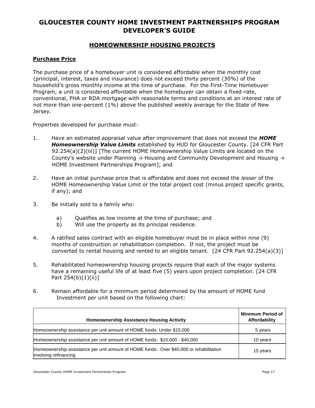#### **HOMEOWNERSHIP HOUSING PROJECTS**

#### **Purchase Price**

The purchase price of a homebuyer unit is considered affordable when the monthly cost (principal, interest, taxes and insurance) does not exceed thirty percent (30%) of the household's gross monthly income at the time of purchase. For the First-Time Homebuyer Program, a unit is considered affordable when the homebuyer can obtain a fixed-rate, conventional, FHA or RDA mortgage with reasonable terms and conditions at an interest rate of not more than one-percent (1%) above the published weekly average for the State of New Jersey.

Properties developed for purchase must:

- 1. Have an estimated appraisal value after improvement that does not exceed the *HOME Homeownership Value Limits* established by HUD for Gloucester County. [24 CFR Part 92.254(a)(2)(iii)] [The current HOME Homeownership Value Limits are located on the County's website under Planning  $\rightarrow$  Housing and Community Development and Housing  $\rightarrow$ HOME Investment Partnerships Program]; and
- 2. Have an initial purchase price that is affordable and does not exceed the *lesser* of the HOME Homeownership Value Limit or the total project cost (minus project specific grants, if any); and
- 3. Be initially sold to a family who:
	- a) Qualifies as low income at the time of purchase; and
	- b) Will use the property as its principal residence.
- 4. A ratified sales contract with an eligible homebuyer must be in place within nine (9) months of construction or rehabilitation completion. If not, the project must be converted to rental housing and rented to an eligible tenant. [24 CFR Part 92.254(a)(3)]
- 5. Rehabilitated homeownership housing projects require that each of the major systems have a remaining useful life of at least five (5) years upon project completion. [24 CFR Part 254(b)(1)(ii)]
- 6. Remain affordable for a minimum period determined by the amount of HOME fund Investment per unit based on the following chart:

| <b>Homeownership Assistance Housing Activity</b>                                                                 | <b>Minimum Period of</b><br>Affordability |
|------------------------------------------------------------------------------------------------------------------|-------------------------------------------|
| Homeownership assistance per unit amount of HOME funds: Under \$15,000                                           | 5 years                                   |
| Homeownership assistance per unit amount of HOME funds: \$15,000 - \$40,000                                      | 10 years                                  |
| Homeownership assistance per unit amount of HOME funds: Over \$40,000 or rehabilitation<br>involving refinancing | 15 years                                  |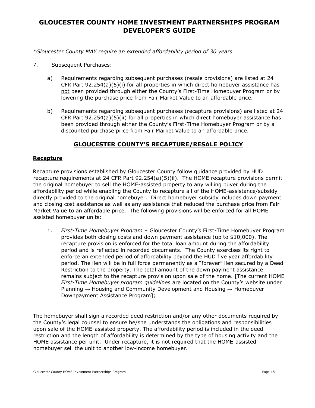*\*Gloucester County MAY require an extended affordability period of 30 years.* 

- 7. Subsequent Purchases:
	- a) Requirements regarding subsequent purchases (resale provisions) are listed at 24 CFR Part 92.254(a)(5)(i) for all properties in which direct homebuyer assistance has not been provided through either the County's First-Time Homebuyer Program or by lowering the purchase price from Fair Market Value to an affordable price.
	- b) Requirements regarding subsequent purchases (recapture provisions) are listed at 24 CFR Part  $92.254(a)(5)(ii)$  for all properties in which direct homebuyer assistance has been provided through either the County's First-Time Homebuyer Program or by a discounted purchase price from Fair Market Value to an affordable price.

#### **GLOUCESTER COUNTY'S RECAPTURE/RESALE POLICY**

#### **Recapture**

Recapture provisions established by Gloucester County follow guidance provided by HUD recapture requirements at 24 CFR Part 92.254(a)(5)(ii). The HOME recapture provisions permit the original homebuyer to sell the HOME-assisted property to any willing buyer during the affordability period while enabling the County to recapture all of the HOME-assistance/subsidy directly provided to the original homebuyer. Direct homebuyer subsidy includes down payment and closing cost assistance as well as any assistance that reduced the purchase price from Fair Market Value to an affordable price. The following provisions will be enforced for all HOME assisted homebuyer units:

1. *First-Time Homebuyer Program* – Gloucester County's First-Time Homebuyer Program provides both closing costs and down payment assistance (up to \$10,000). The recapture provision is enforced for the total loan amount during the affordability period and is reflected in recorded documents. The County exercises its right to enforce an extended period of affordability beyond the HUD five year affordability period. The lien will be in full force permanently as a "forever" lien secured by a Deed Restriction to the property. The total amount of the down payment assistance remains subject to the recapture provision upon sale of the home. [The current HOME *First-Time Homebuyer program guidelines* are located on the County's website under Planning  $\rightarrow$  Housing and Community Development and Housing  $\rightarrow$  Homebuyer Downpayment Assistance Program];

The homebuyer shall sign a recorded deed restriction and/or any other documents required by the County's legal counsel to ensure he/she understands the obligations and responsibilities upon sale of the HOME-assisted property. The affordability period is included in the deed restriction and the length of affordability is determined by the type of housing activity and the HOME assistance per unit. Under recapture, it is not required that the HOME-assisted homebuyer sell the unit to another low-income homebuyer.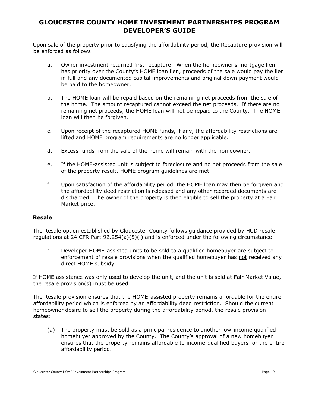Upon sale of the property prior to satisfying the affordability period, the Recapture provision will be enforced as follows:

- a. Owner investment returned first recapture. When the homeowner's mortgage lien has priority over the County's HOME loan lien, proceeds of the sale would pay the lien in full and any documented capital improvements and original down payment would be paid to the homeowner.
- b. The HOME loan will be repaid based on the remaining net proceeds from the sale of the home. The amount recaptured cannot exceed the net proceeds. If there are no remaining net proceeds, the HOME loan will not be repaid to the County. The HOME loan will then be forgiven.
- c. Upon receipt of the recaptured HOME funds, if any, the affordability restrictions are lifted and HOME program requirements are no longer applicable.
- d. Excess funds from the sale of the home will remain with the homeowner.
- e. If the HOME-assisted unit is subject to foreclosure and no net proceeds from the sale of the property result, HOME program guidelines are met.
- f. Upon satisfaction of the affordability period, the HOME loan may then be forgiven and the affordability deed restriction is released and any other recorded documents are discharged. The owner of the property is then eligible to sell the property at a Fair Market price.

#### **Resale**

The Resale option established by Gloucester County follows guidance provided by HUD resale regulations at 24 CFR Part 92.254(a)(5)(i) and is enforced under the following circumstance:

1. Developer HOME-assisted units to be sold to a qualified homebuyer are subject to enforcement of resale provisions when the qualified homebuyer has not received any direct HOME subsidy.

If HOME assistance was only used to develop the unit, and the unit is sold at Fair Market Value, the resale provision(s) must be used.

The Resale provision ensures that the HOME-assisted property remains affordable for the entire affordability period which is enforced by an affordability deed restriction. Should the current homeowner desire to sell the property during the affordability period, the resale provision states:

(a) The property must be sold as a principal residence to another low-income qualified homebuyer approved by the County. The County's approval of a new homebuyer ensures that the property remains affordable to income-qualified buyers for the entire affordability period.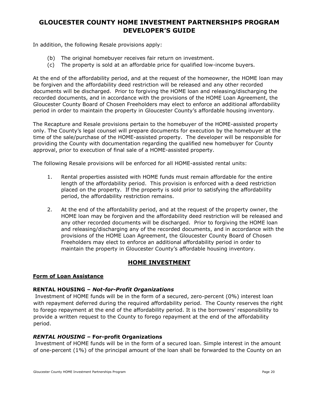In addition, the following Resale provisions apply:

- (b) The original homebuyer receives fair return on investment.
- (c) The property is sold at an affordable price for qualified low-income buyers.

At the end of the affordability period, and at the request of the homeowner, the HOME loan may be forgiven and the affordability deed restriction will be released and any other recorded documents will be discharged. Prior to forgiving the HOME loan and releasing/discharging the recorded documents, and in accordance with the provisions of the HOME Loan Agreement, the Gloucester County Board of Chosen Freeholders may elect to enforce an additional affordability period in order to maintain the property in Gloucester County's affordable housing inventory.

The Recapture and Resale provisions pertain to the homebuyer of the HOME-assisted property only. The County's legal counsel will prepare documents for execution by the homebuyer at the time of the sale/purchase of the HOME-assisted property. The developer will be responsible for providing the County with documentation regarding the qualified new homebuyer for County approval, prior to execution of final sale of a HOME-assisted property.

The following Resale provisions will be enforced for all HOME-assisted rental units:

- 1. Rental properties assisted with HOME funds must remain affordable for the entire length of the affordability period. This provision is enforced with a deed restriction placed on the property. If the property is sold prior to satisfying the affordability period, the affordability restriction remains.
- 2. At the end of the affordability period, and at the request of the property owner, the HOME loan may be forgiven and the affordability deed restriction will be released and any other recorded documents will be discharged. Prior to forgiving the HOME loan and releasing/discharging any of the recorded documents, and in accordance with the provisions of the HOME Loan Agreement, the Gloucester County Board of Chosen Freeholders may elect to enforce an additional affordability period in order to maintain the property in Gloucester County's affordable housing inventory.

### **HOME INVESTMENT**

#### **Form of Loan Assistance**

#### **RENTAL HOUSING –** *Not-for-Profit Organizations*

Investment of HOME funds will be in the form of a secured, zero-percent (0%) interest loan with repayment deferred during the required affordability period. The County reserves the right to forego repayment at the end of the affordability period. It is the borrowers' responsibility to provide a written request to the County to forego repayment at the end of the affordability period.

#### *RENTAL HOUSING –* **For-profit Organizations**

Investment of HOME funds will be in the form of a secured loan. Simple interest in the amount of one-percent (1%) of the principal amount of the loan shall be forwarded to the County on an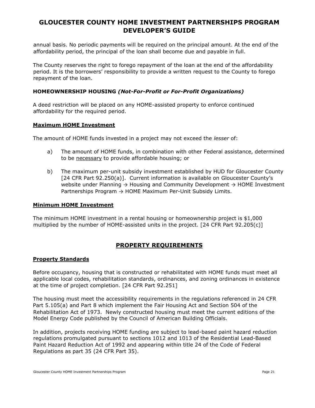annual basis. No periodic payments will be required on the principal amount. At the end of the affordability period, the principal of the loan shall become due and payable in full.

The County reserves the right to forego repayment of the loan at the end of the affordability period. It is the borrowers' responsibility to provide a written request to the County to forego repayment of the loan.

#### **HOMEOWNERSHIP HOUSING** *(Not-For-Profit or For-Profit Organizations)*

A deed restriction will be placed on any HOME-assisted property to enforce continued affordability for the required period.

#### **Maximum HOME Investment**

The amount of HOME funds invested in a project may not exceed the *lesser* of:

- a) The amount of HOME funds, in combination with other Federal assistance, determined to be necessary to provide affordable housing; or
- b) The maximum per-unit subsidy investment established by HUD for Gloucester County [24 CFR Part 92.250(a)]. Current information is available on Gloucester County's website under Planning  $\rightarrow$  Housing and Community Development  $\rightarrow$  HOME Investment Partnerships Program  $\rightarrow$  HOME Maximum Per-Unit Subsidy Limits.

#### **Minimum HOME Investment**

The minimum HOME investment in a rental housing or homeownership project is \$1,000 multiplied by the number of HOME-assisted units in the project. [24 CFR Part 92.205(c)]

#### **PROPERTY REQUIREMENTS**

#### **Property Standards**

Before occupancy, housing that is constructed or rehabilitated with HOME funds must meet all applicable local codes, rehabilitation standards, ordinances, and zoning ordinances in existence at the time of project completion. [24 CFR Part 92.251]

The housing must meet the accessibility requirements in the regulations referenced in 24 CFR Part 5.105(a) and Part 8 which implement the Fair Housing Act and Section 504 of the Rehabilitation Act of 1973. Newly constructed housing must meet the current editions of the Model Energy Code published by the Council of American Building Officials.

In addition, projects receiving HOME funding are subject to lead-based paint hazard reduction regulations promulgated pursuant to sections 1012 and 1013 of the Residential Lead-Based Paint Hazard Reduction Act of 1992 and appearing within title 24 of the Code of Federal Regulations as part 35 (24 CFR Part 35).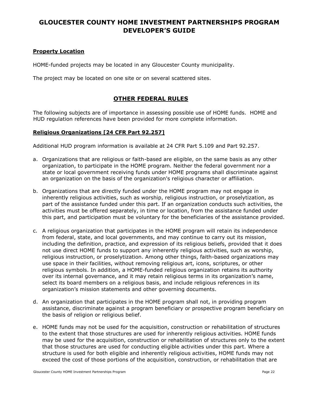#### **Property Location**

HOME-funded projects may be located in any Gloucester County municipality.

The project may be located on one site or on several scattered sites.

#### **OTHER FEDERAL RULES**

The following subjects are of importance in assessing possible use of HOME funds. HOME and HUD regulation references have been provided for more complete information.

#### **Religious Organizations [24 CFR Part 92.257]**

Additional HUD program information is available at 24 CFR Part 5.109 and Part 92.257.

- a. Organizations that are religious or faith-based are eligible, on the same basis as any other organization, to participate in the HOME program. Neither the federal government nor a state or local government receiving funds under HOME programs shall discriminate against an organization on the basis of the organization's religious character or affiliation.
- b. Organizations that are directly funded under the HOME program may not engage in inherently religious activities, such as worship, religious instruction, or proselytization, as part of the assistance funded under this part. If an organization conducts such activities, the activities must be offered separately, in time or location, from the assistance funded under this part, and participation must be voluntary for the beneficiaries of the assistance provided.
- c. A religious organization that participates in the HOME program will retain its independence from federal, state, and local governments, and may continue to carry out its mission, including the definition, practice, and expression of its religious beliefs, provided that it does not use direct HOME funds to support any inherently religious activities, such as worship, religious instruction, or proselytization. Among other things, faith-based organizations may use space in their facilities, without removing religious art, icons, scriptures, or other religious symbols. In addition, a HOME-funded religious organization retains its authority over its internal governance, and it may retain religious terms in its organization's name, select its board members on a religious basis, and include religious references in its organization's mission statements and other governing documents.
- d. An organization that participates in the HOME program shall not, in providing program assistance, discriminate against a program beneficiary or prospective program beneficiary on the basis of religion or religious belief.
- e. HOME funds may not be used for the acquisition, construction or rehabilitation of structures to the extent that those structures are used for inherently religious activities. HOME funds may be used for the acquisition, construction or rehabilitation of structures only to the extent that those structures are used for conducting eligible activities under this part. Where a structure is used for both eligible and inherently religious activities, HOME funds may not exceed the cost of those portions of the acquisition, construction, or rehabilitation that are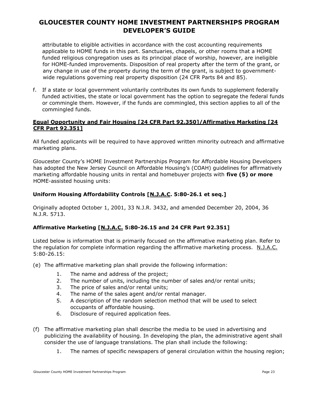attributable to eligible activities in accordance with the cost accounting requirements applicable to HOME funds in this part. Sanctuaries, chapels, or other rooms that a HOME funded religious congregation uses as its principal place of worship, however, are ineligible for HOME-funded improvements. Disposition of real property after the term of the grant, or any change in use of the property during the term of the grant, is subject to governmentwide regulations governing real property disposition (24 CFR Parts 84 and 85).

f. If a state or local government voluntarily contributes its own funds to supplement federally funded activities, the state or local government has the option to segregate the federal funds or commingle them. However, if the funds are commingled, this section applies to all of the commingled funds.

#### **Equal Opportunity and Fair Housing [24 CFR Part 92.350]/Affirmative Marketing [24 CFR Part 92.351]**

All funded applicants will be required to have approved written minority outreach and affirmative marketing plans.

Gloucester County's HOME Investment Partnerships Program for Affordable Housing Developers has adopted the New Jersey Council on Affordable Housing's (COAH) guidelines for affirmatively marketing affordable housing units in rental and homebuyer projects with **five (5) or more** HOME-assisted housing units:

#### **Uniform Housing Affordability Controls [N.J.A.C. 5:80-26.1 et seq.]**

Originally adopted October 1, 2001, 33 N.J.R. 3432, and amended December 20, 2004, 36 N.J.R. 5713.

#### **Affirmative Marketing [N.J.A.C. 5:80-26.15 and 24 CFR Part 92.351]**

Listed below is information that is primarily focused on the affirmative marketing plan. Refer to the regulation for complete information regarding the affirmative marketing process. N.J.A.C. 5:80-26.15:

- (e) The affirmative marketing plan shall provide the following information:
	- 1. The name and address of the project;
	- 2. The number of units, including the number of sales and/or rental units;
	- 3. The price of sales and/or rental units;
	- 4. The name of the sales agent and/or rental manager.
	- 5. A description of the random selection method that will be used to select occupants of affordable housing.
	- 6. Disclosure of required application fees.
- (f) The affirmative marketing plan shall describe the media to be used in advertising and publicizing the availability of housing. In developing the plan, the administrative agent shall consider the use of language translations. The plan shall include the following:
	- 1. The names of specific newspapers of general circulation within the housing region;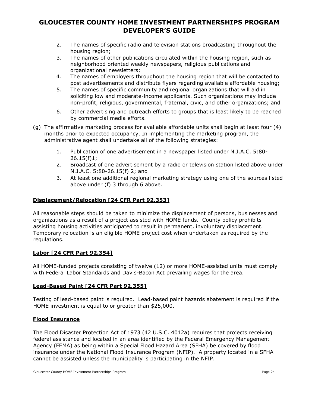- 2. The names of specific radio and television stations broadcasting throughout the housing region;
- 3. The names of other publications circulated within the housing region, such as neighborhood oriented weekly newspapers, religious publications and organizational newsletters;
- 4. The names of employers throughout the housing region that will be contacted to post advertisements and distribute flyers regarding available affordable housing;
- 5. The names of specific community and regional organizations that will aid in soliciting low and moderate-income applicants. Such organizations may include non-profit, religious, governmental, fraternal, civic, and other organizations; and
- 6. Other advertising and outreach efforts to groups that is least likely to be reached by commercial media efforts.
- (g) The affirmative marketing process for available affordable units shall begin at least four (4) months prior to expected occupancy. In implementing the marketing program, the administrative agent shall undertake all of the following strategies:
	- 1. Publication of one advertisement in a newspaper listed under N.J.A.C. 5:80- 26.15(f)1;
	- 2. Broadcast of one advertisement by a radio or television station listed above under N.J.A.C. 5:80-26.15(f) 2; and
	- 3. At least one additional regional marketing strategy using one of the sources listed above under (f) 3 through 6 above.

#### **Displacement/Relocation [24 CFR Part 92.353]**

All reasonable steps should be taken to minimize the displacement of persons, businesses and organizations as a result of a project assisted with HOME funds. County policy prohibits assisting housing activities anticipated to result in permanent, involuntary displacement. Temporary relocation is an eligible HOME project cost when undertaken as required by the regulations.

#### **Labor [24 CFR Part 92.354]**

All HOME-funded projects consisting of twelve (12) or more HOME-assisted units must comply with Federal Labor Standards and Davis-Bacon Act prevailing wages for the area.

#### **Lead-Based Paint [24 CFR Part 92.355]**

Testing of lead-based paint is required. Lead-based paint hazards abatement is required if the HOME investment is equal to or greater than \$25,000.

#### **Flood Insurance**

The Flood Disaster Protection Act of 1973 (42 U.S.C. 4012a) requires that projects receiving federal assistance and located in an area identified by the Federal Emergency Management Agency (FEMA) as being within a Special Flood Hazard Area (SFHA) be covered by flood insurance under the National Flood Insurance Program (NFIP). A property located in a SFHA cannot be assisted unless the municipality is participating in the NFIP.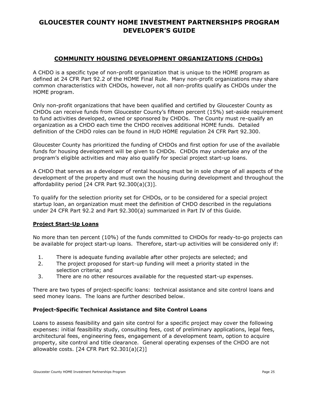#### **COMMUNITY HOUSING DEVELOPMENT ORGANIZATIONS (CHDOs)**

A CHDO is a specific type of non-profit organization that is unique to the HOME program as defined at 24 CFR Part 92.2 of the HOME Final Rule. Many non-profit organizations may share common characteristics with CHDOs, however, not all non-profits qualify as CHDOs under the HOME program.

Only non-profit organizations that have been qualified and certified by Gloucester County as CHDOs can receive funds from Gloucester County's fifteen percent (15%) set-aside requirement to fund activities developed, owned or sponsored by CHDOs. The County must re-qualify an organization as a CHDO each time the CHDO receives additional HOME funds. Detailed definition of the CHDO roles can be found in HUD HOME regulation 24 CFR Part 92.300.

Gloucester County has prioritized the funding of CHDOs and first option for use of the available funds for housing development will be given to CHDOs. CHDOs may undertake any of the program's eligible activities and may also qualify for special project start-up loans.

A CHDO that serves as a developer of rental housing must be in sole charge of all aspects of the development of the property and must own the housing during development and throughout the affordability period [24 CFR Part 92.300(a)(3)].

To qualify for the selection priority set for CHDOs, or to be considered for a special project startup loan, an organization must meet the definition of CHDO described in the regulations under 24 CFR Part 92.2 and Part 92.300(a) summarized in Part IV of this Guide.

#### **Project Start-Up Loans**

No more than ten percent (10%) of the funds committed to CHDOs for ready-to-go projects can be available for project start-up loans. Therefore, start-up activities will be considered only if:

- 1. There is adequate funding available after other projects are selected; and
- 2. The project proposed for start-up funding will meet a priority stated in the selection criteria; and
- 3. There are no other resources available for the requested start-up expenses.

There are two types of project-specific loans: technical assistance and site control loans and seed money loans. The loans are further described below.

#### **Project-Specific Technical Assistance and Site Control Loans**

Loans to assess feasibility and gain site control for a specific project may cover the following expenses: initial feasibility study, consulting fees, cost of preliminary applications, legal fees, architectural fees, engineering fees, engagement of a development team, option to acquire property, site control and title clearance. General operating expenses of the CHDO are not allowable costs. [24 CFR Part 92.301(a)(2)]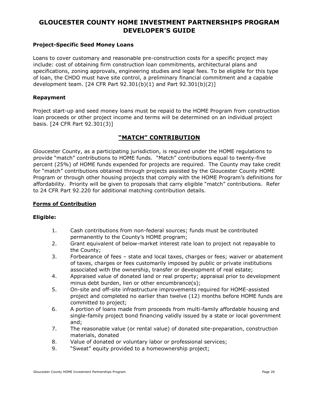#### **Project-Specific Seed Money Loans**

Loans to cover customary and reasonable pre-construction costs for a specific project may include: cost of obtaining firm construction loan commitments, architectural plans and specifications, zoning approvals, engineering studies and legal fees. To be eligible for this type of loan, the CHDO must have site control, a preliminary financial commitment and a capable development team. [24 CFR Part 92.301(b)(1) and Part 92.301(b)(2)]

#### **Repayment**

Project start-up and seed money loans must be repaid to the HOME Program from construction loan proceeds or other project income and terms will be determined on an individual project basis. [24 CFR Part 92.301(3)]

#### **"MATCH" CONTRIBUTION**

Gloucester County, as a participating jurisdiction, is required under the HOME regulations to provide "match" contributions to HOME funds. "Match" contributions equal to twenty-five percent (25%) of HOME funds expended for projects are required. The County may take credit for "match" contributions obtained through projects assisted by the Gloucester County HOME Program or through other housing projects that comply with the HOME Program's definitions for affordability. Priority will be given to proposals that carry eligible "match" contributions. Refer to 24 CFR Part 92.220 for additional matching contribution details.

#### **Forms of Contribution**

#### **Eligible:**

- 1. Cash contributions from non-federal sources; funds must be contributed permanently to the County's HOME program;
- 2. Grant equivalent of below-market interest rate loan to project not repayable to the County;
- 3. Forbearance of fees state and local taxes, charges or fees; waiver or abatement of taxes, charges or fees customarily imposed by public or private institutions associated with the ownership, transfer or development of real estate;
- 4. Appraised value of donated land or real property; appraisal prior to development minus debt burden, lien or other encumbrance(s);
- 5. On-site and off-site infrastructure improvements required for HOME-assisted project and completed no earlier than twelve (12) months before HOME funds are committed to project;
- 6. A portion of loans made from proceeds from multi-family affordable housing and single-family project bond financing validly issued by a state or local government and;
- 7. The reasonable value (or rental value) of donated site-preparation, construction materials, donated
- 8. Value of donated or voluntary labor or professional services;
- 9. "Sweat" equity provided to a homeownership project;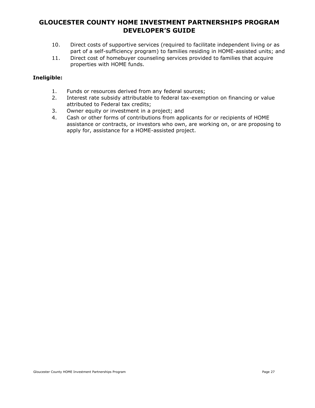- 10. Direct costs of supportive services (required to facilitate independent living or as part of a self-sufficiency program) to families residing in HOME-assisted units; and
- 11. Direct cost of homebuyer counseling services provided to families that acquire properties with HOME funds.

#### **Ineligible:**

- 1. Funds or resources derived from any federal sources;
- 2. Interest rate subsidy attributable to federal tax-exemption on financing or value attributed to Federal tax credits;
- 3. Owner equity or investment in a project; and
- 4. Cash or other forms of contributions from applicants for or recipients of HOME assistance or contracts, or investors who own, are working on, or are proposing to apply for, assistance for a HOME-assisted project.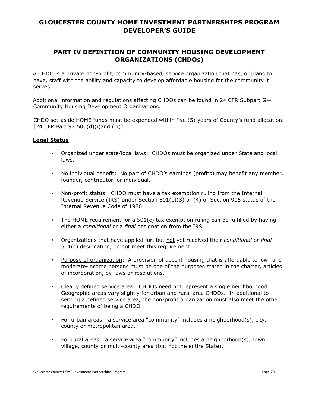### **PART IV DEFINITION OF COMMUNITY HOUSING DEVELOPMENT ORGANIZATIONS (CHDOs)**

A CHDO is a private non-profit, community-based, service organization that has, or plans to have, staff with the ability and capacity to develop affordable housing for the community it serves.

Additional information and regulations affecting CHDOs can be found in 24 CFR [Subpart G](https://www.ecfr.gov/cgi-bin/retrieveECFR?gp=1&SID=5ea884f21c9156fd96b9dc19e6ae4786&ty=HTML&h=L&mc=true&n=pt24.1.92&r=PART#sp24.1.92.g)[—](https://www.ecfr.gov/cgi-bin/retrieveECFR?gp=1&SID=5ea884f21c9156fd96b9dc19e6ae4786&ty=HTML&h=L&mc=true&n=pt24.1.92&r=PART#sp24.1.92.g) [Community Housing Development Organizations.](https://www.ecfr.gov/cgi-bin/retrieveECFR?gp=1&SID=5ea884f21c9156fd96b9dc19e6ae4786&ty=HTML&h=L&mc=true&n=pt24.1.92&r=PART#sp24.1.92.g) 

CHDO set-aside HOME funds must be expended within five (5) years of County's fund allocation. [24 CFR Part 92.500(d)(i)and (iii)]

#### **Legal Status**

- Organized under state/local laws: CHDOs must be organized under State and local laws.
- No individual benefit: No part of CHDO's earnings (profits) may benefit any member, founder, contributor, or individual.
- Non-profit status: CHDO must have a tax exemption ruling from the Internal Revenue Service (IRS) under Section  $501(c)(3)$  or (4) or Section 905 status of the Internal Revenue Code of 1986.
- The HOME requirement for a 501(c) tax exemption ruling can be fulfilled by having either a *conditional* or a *final* designation from the IRS.
- Organizations that have applied for, but not yet received their *conditional* or *final* 501(c) designation, do not meet this requirement.
- Purpose of organization: A provision of decent housing that is affordable to low- and moderate-income persons must be one of the purposes stated in the charter, articles of incorporation, by-laws or resolutions.
- Clearly defined service area: CHDOs need not represent a single neighborhood. Geographic areas vary slightly for urban and rural area CHDOs. In additional to serving a defined service area, the non-profit organization must also meet the other requirements of being a CHDO.
- For urban areas: a service area "community" includes a neighborhood(s), city, county or metropolitan area.
- For rural areas: a service area "community" includes a neighborhood(s), town, village, county or multi-county area (but not the entire State).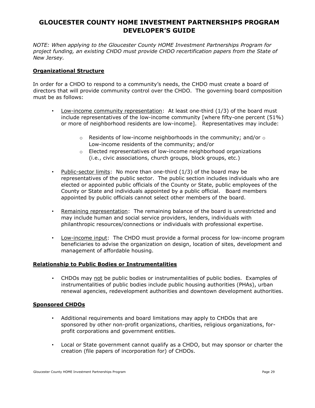*NOTE: When applying to the Gloucester County HOME Investment Partnerships Program for project funding, an existing CHDO must provide CHDO recertification papers from the State of New Jersey.* 

#### **Organizational Structure**

In order for a CHDO to respond to a community's needs, the CHDO must create a board of directors that will provide community control over the CHDO. The governing board composition must be as follows:

- Low-income community representation: At least one-third (1/3) of the board must include representatives of the low-income community [where fifty-one percent (51%) or more of neighborhood residents are low-income]. Representatives may include:
	- $\circ$  Residents of low-income neighborhoods in the community; and/or  $\circ$ Low-income residents of the community; and/or
	- $\circ$  Elected representatives of low-income neighborhood organizations (i.e., civic associations, church groups, block groups, etc.)
- Public-sector limits: No more than one-third (1/3) of the board may be representatives of the public sector. The public section includes individuals who are elected or appointed public officials of the County or State, public employees of the County or State and individuals appointed by a public official. Board members appointed by public officials cannot select other members of the board.
- Remaining representation: The remaining balance of the board is unrestricted and may include human and social service providers, lenders, individuals with philanthropic resources/connections or individuals with professional expertise.
- Low-income input: The CHDO must provide a formal process for low-income program beneficiaries to advise the organization on design, location of sites, development and management of affordable housing.

#### **Relationship to Public Bodies or Instrumentalities**

• CHDOs may not be public bodies or instrumentalities of public bodies. Examples of instrumentalities of public bodies include public housing authorities (PHAs), urban renewal agencies, redevelopment authorities and downtown development authorities.

#### **Sponsored CHDOs**

- Additional requirements and board limitations may apply to CHDOs that are sponsored by other non-profit organizations, charities, religious organizations, forprofit corporations and government entities.
- Local or State government cannot qualify as a CHDO, but may sponsor or charter the creation (file papers of incorporation for) of CHDOs.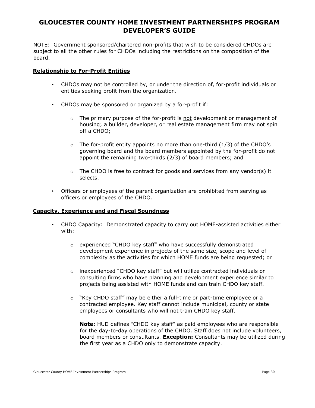NOTE: Government sponsored/chartered non-profits that wish to be considered CHDOs are subject to all the other rules for CHDOs including the restrictions on the composition of the board.

#### **Relationship to For-Profit Entities**

- CHDOs may not be controlled by, or under the direction of, for-profit individuals or entities seeking profit from the organization.
- CHDOs may be sponsored or organized by a for-profit if:
	- $\circ$  The primary purpose of the for-profit is not development or management of housing; a builder, developer, or real estate management firm may not spin off a CHDO;
	- $\circ$  The for-profit entity appoints no more than one-third (1/3) of the CHDO's governing board and the board members appointed by the for-profit do not appoint the remaining two-thirds (2/3) of board members; and
	- $\circ$  The CHDO is free to contract for goods and services from any vendor(s) it selects.
- Officers or employees of the parent organization are prohibited from serving as officers or employees of the CHDO.

#### **Capacity, Experience and and Fiscal Soundness**

- CHDO Capacity: Demonstrated capacity to carry out HOME-assisted activities either with:
	- $\circ$  experienced "CHDO key staff" who have successfully demonstrated development experience in projects of the same size, scope and level of complexity as the activities for which HOME funds are being requested; or
	- $\circ$  inexperienced "CHDO key staff" but will utilize contracted individuals or consulting firms who have planning and development experience similar to projects being assisted with HOME funds and can train CHDO key staff.
	- $\circ$  "Key CHDO staff" may be either a full-time or part-time employee or a contracted employee. Key staff cannot include municipal, county or state employees or consultants who will not train CHDO key staff.

**Note:** HUD defines "CHDO key staff" as paid employees who are responsible for the day-to-day operations of the CHDO. Staff does not include volunteers, board members or consultants. **Exception:** Consultants may be utilized during the first year as a CHDO only to demonstrate capacity.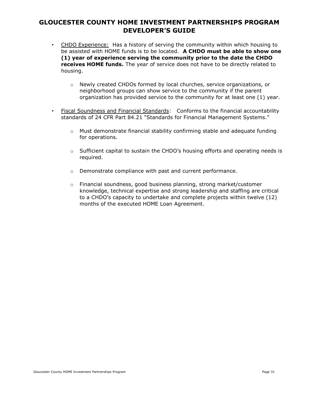- CHDO Experience: Has a history of serving the community within which housing to be assisted with HOME funds is to be located. **A CHDO must be able to show one (1) year of experience serving the community prior to the date the CHDO receives HOME funds.** The year of service does not have to be directly related to housing.
	- o Newly created CHDOs formed by local churches, service organizations, or neighborhood groups can show service to the community if the parent organization has provided service to the community for at least one (1) year.
- Fiscal Soundness and Financial Standards: Conforms to the financial accountability standards of 24 CFR Part 84.21 "Standards for Financial Management Systems."
	- $\circ$  Must demonstrate financial stability confirming stable and adequate funding for operations.
	- $\circ$  Sufficient capital to sustain the CHDO's housing efforts and operating needs is required.
	- o Demonstrate compliance with past and current performance.
	- o Financial soundness, good business planning, strong market/customer knowledge, technical expertise and strong leadership and staffing are critical to a CHDO's capacity to undertake and complete projects within twelve (12) months of the executed HOME Loan Agreement.